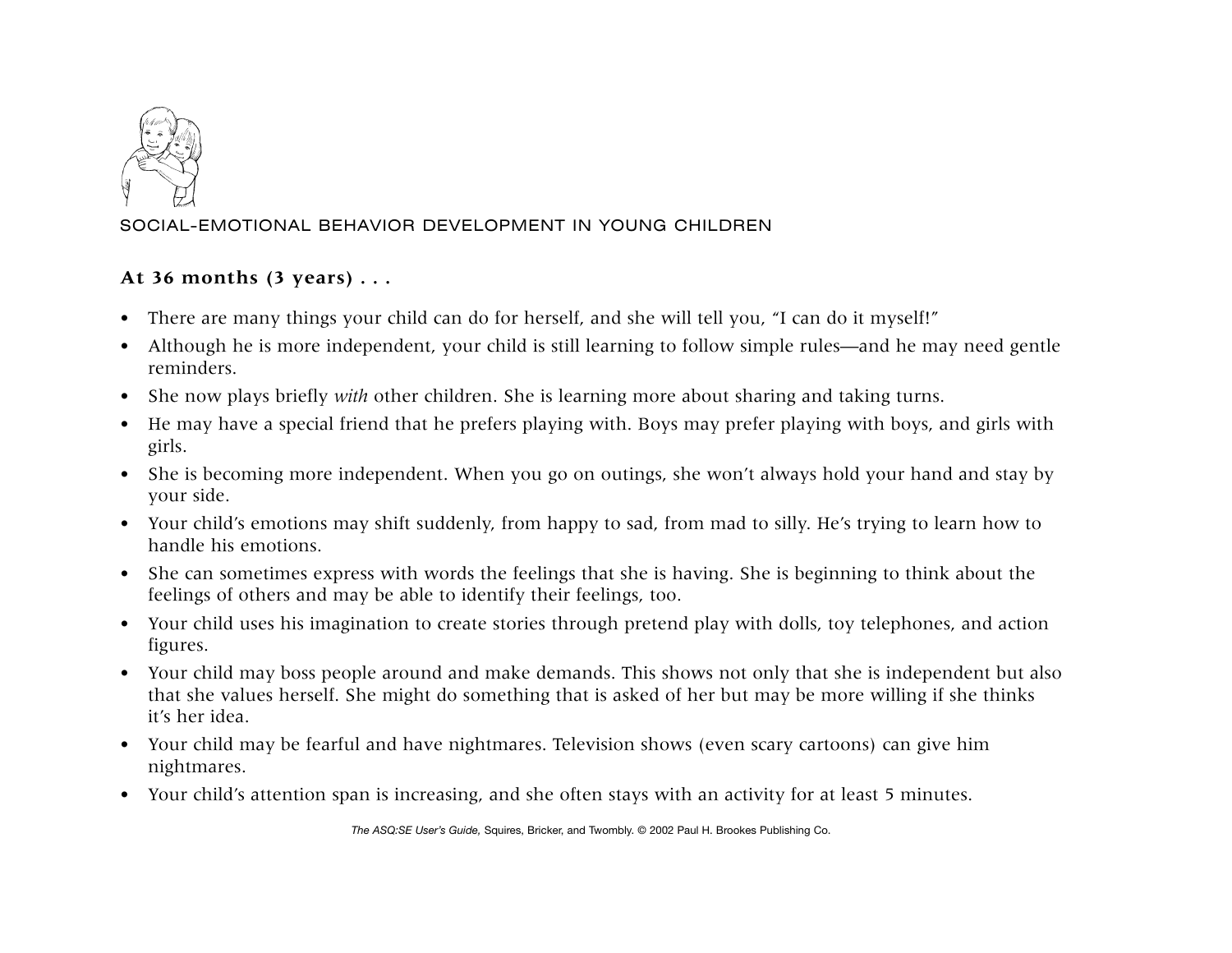

## SOCIAL-EMOTIONAL BEHAVIOR DEVELOPMENT IN YOUNG CHILDREN

## **At 36 months (3 years) . . .**

- There are many things your child can do for herself, and she will tell you, "I can do it myself!"
- Although he is more independent, your child is still learning to follow simple rules—and he may need gentle reminders.
- She now plays briefly *with* other children. She is learning more about sharing and taking turns.
- He may have a special friend that he prefers playing with. Boys may prefer playing with boys, and girls with girls.
- She is becoming more independent. When you go on outings, she won't always hold your hand and stay by your side.
- Your child's emotions may shift suddenly, from happy to sad, from mad to silly. He's trying to learn how to handle his emotions.
- She can sometimes express with words the feelings that she is having. She is beginning to think about the feelings of others and may be able to identify their feelings, too.
- Your child uses his imagination to create stories through pretend play with dolls, toy telephones, and action figures.
- Your child may boss people around and make demands. This shows not only that she is independent but also that she values herself. She might do something that is asked of her but may be more willing if she thinks it's her idea.
- Your child may be fearful and have nightmares. Television shows (even scary cartoons) can give him nightmares.
- Your child's attention span is increasing, and she often stays with an activity for at least 5 minutes.

*The ASQ:SE User's Guide,* Squires, Bricker, and Twombly. © 2002 Paul H. Brookes Publishing Co.